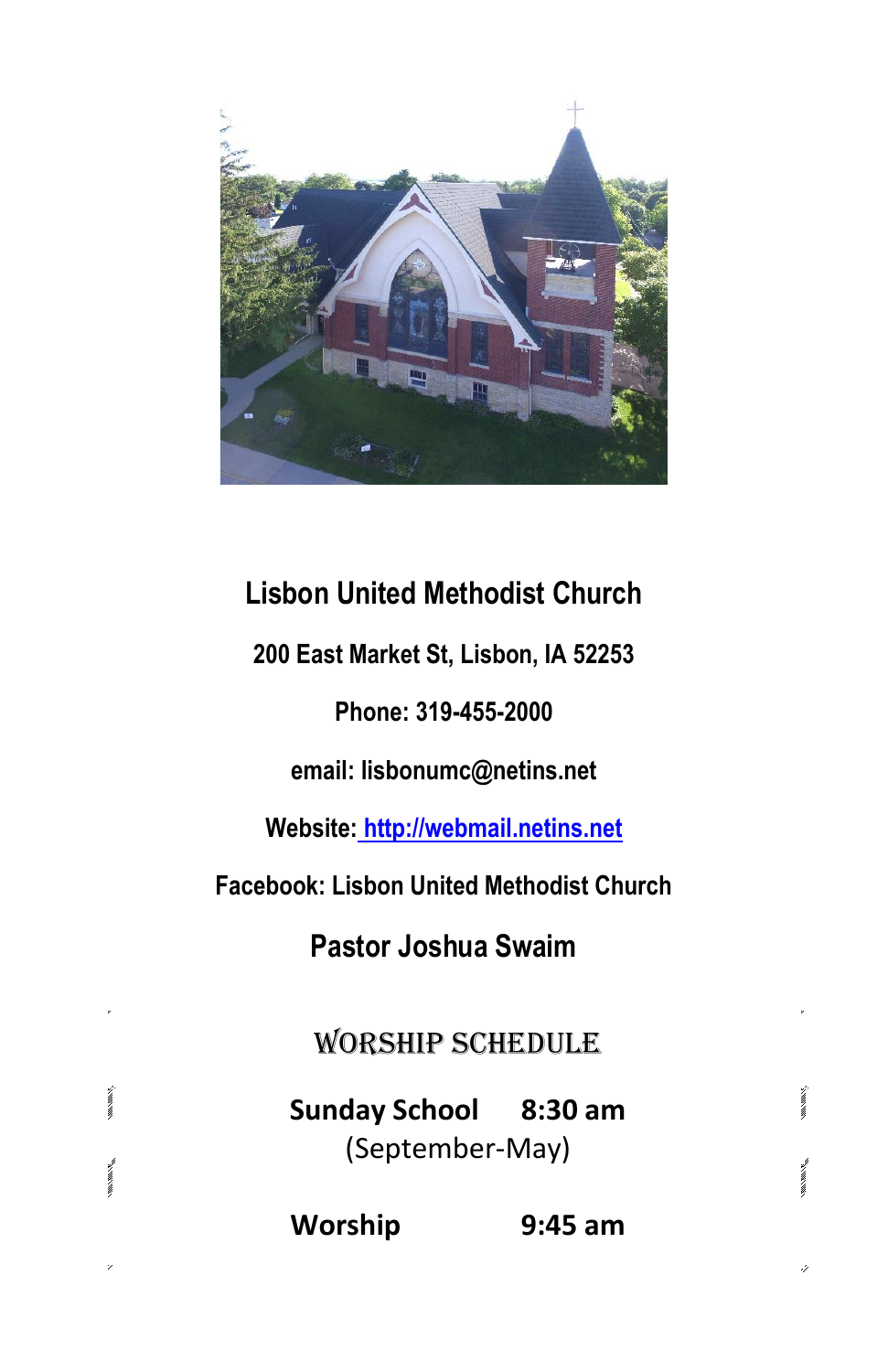

# **Lisbon United Methodist Church**

**200 East Market St, Lisbon, IA 52253**

# **Phone: 319-455-2000**

**email: lisbonumc@netins.net**

**Website: http://webmail.netins.net**

**Facebook: Lisbon United Methodist Church**

**Pastor Joshua Swaim**

Worship Schedule

**Sunday School 8:30 am** (September-May)

maximax.

.)

**Worship 9:45 am**

 $mN/mN$ 

m.m.v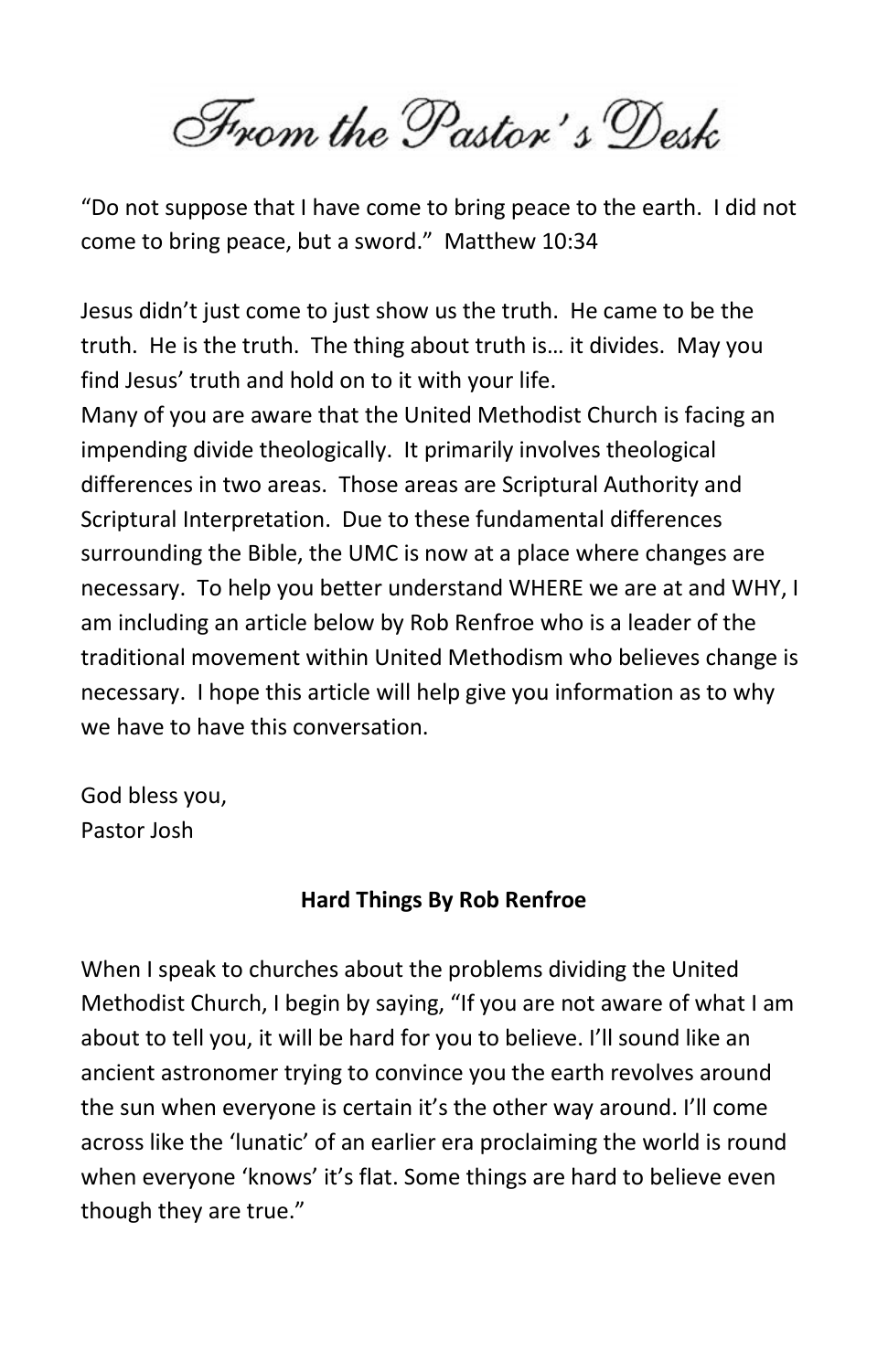From the Pastor's Desk

"Do not suppose that I have come to bring peace to the earth. I did not come to bring peace, but a sword." Matthew 10:34

Jesus didn't just come to just show us the truth. He came to be the truth. He is the truth. The thing about truth is… it divides. May you find Jesus' truth and hold on to it with your life.

Many of you are aware that the United Methodist Church is facing an impending divide theologically. It primarily involves theological differences in two areas. Those areas are Scriptural Authority and Scriptural Interpretation. Due to these fundamental differences surrounding the Bible, the UMC is now at a place where changes are necessary. To help you better understand WHERE we are at and WHY, I am including an article below by Rob Renfroe who is a leader of the traditional movement within United Methodism who believes change is necessary. I hope this article will help give you information as to why we have to have this conversation.

God bless you, Pastor Josh

## **Hard Things By Rob Renfroe**

When I speak to churches about the problems dividing the United Methodist Church, I begin by saying, "If you are not aware of what I am about to tell you, it will be hard for you to believe. I'll sound like an ancient astronomer trying to convince you the earth revolves around the sun when everyone is certain it's the other way around. I'll come across like the 'lunatic' of an earlier era proclaiming the world is round when everyone 'knows' it's flat. Some things are hard to believe even though they are true."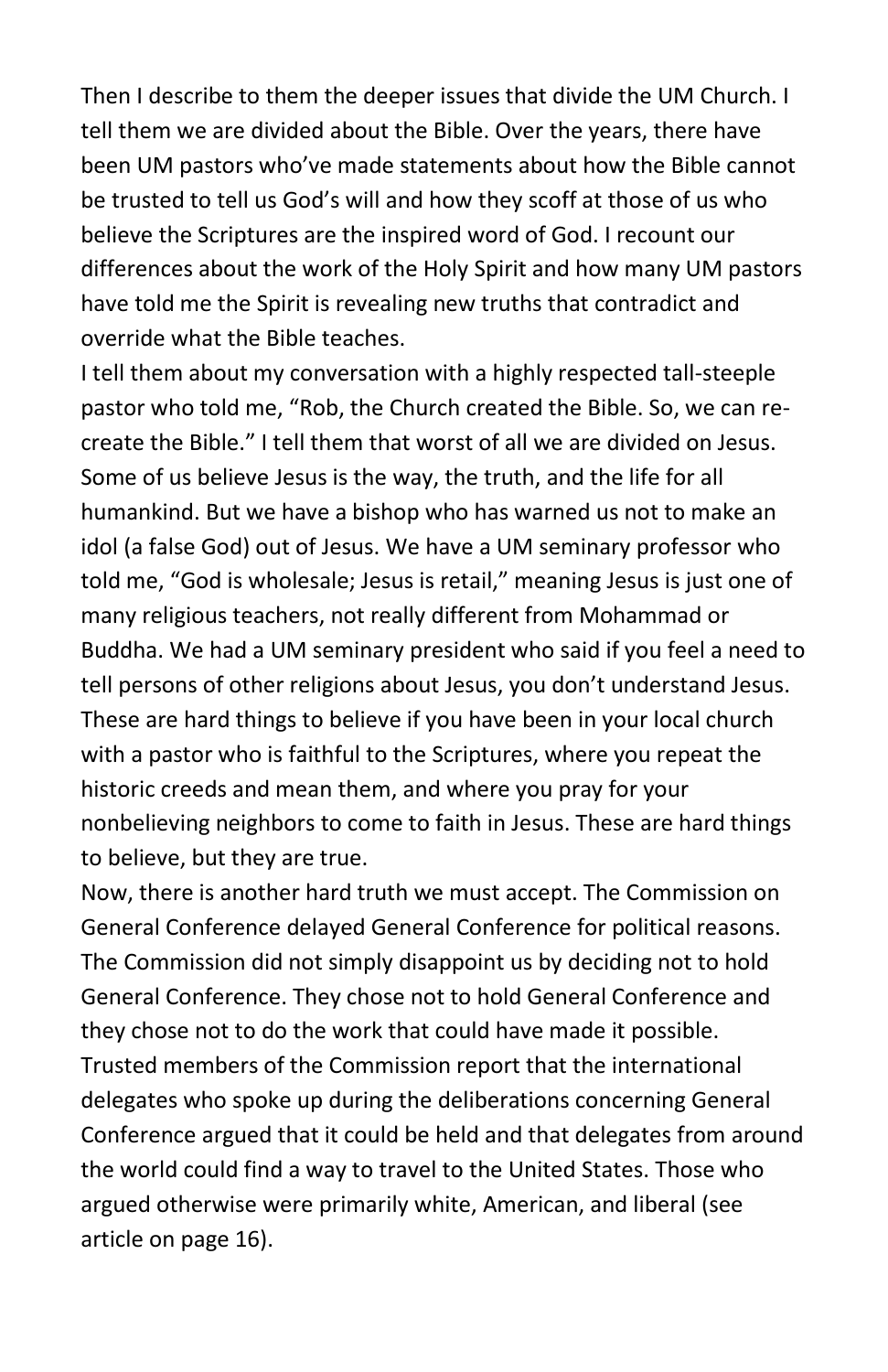Then I describe to them the deeper issues that divide the UM Church. I tell them we are divided about the Bible. Over the years, there have been UM pastors who've made statements about how the Bible cannot be trusted to tell us God's will and how they scoff at those of us who believe the Scriptures are the inspired word of God. I recount our differences about the work of the Holy Spirit and how many UM pastors have told me the Spirit is revealing new truths that contradict and override what the Bible teaches.

I tell them about my conversation with a highly respected tall-steeple pastor who told me, "Rob, the Church created the Bible. So, we can recreate the Bible." I tell them that worst of all we are divided on Jesus. Some of us believe Jesus is the way, the truth, and the life for all humankind. But we have a bishop who has warned us not to make an idol (a false God) out of Jesus. We have a UM seminary professor who told me, "God is wholesale; Jesus is retail," meaning Jesus is just one of many religious teachers, not really different from Mohammad or Buddha. We had a UM seminary president who said if you feel a need to tell persons of other religions about Jesus, you don't understand Jesus. These are hard things to believe if you have been in your local church with a pastor who is faithful to the Scriptures, where you repeat the historic creeds and mean them, and where you pray for your nonbelieving neighbors to come to faith in Jesus. These are hard things to believe, but they are true.

Now, there is another hard truth we must accept. The Commission on General Conference delayed General Conference for political reasons. The Commission did not simply disappoint us by deciding not to hold General Conference. They chose not to hold General Conference and they chose not to do the work that could have made it possible. Trusted members of the Commission report that the international delegates who spoke up during the deliberations concerning General Conference argued that it could be held and that delegates from around the world could find a way to travel to the United States. Those who argued otherwise were primarily white, American, and liberal (see article on page 16).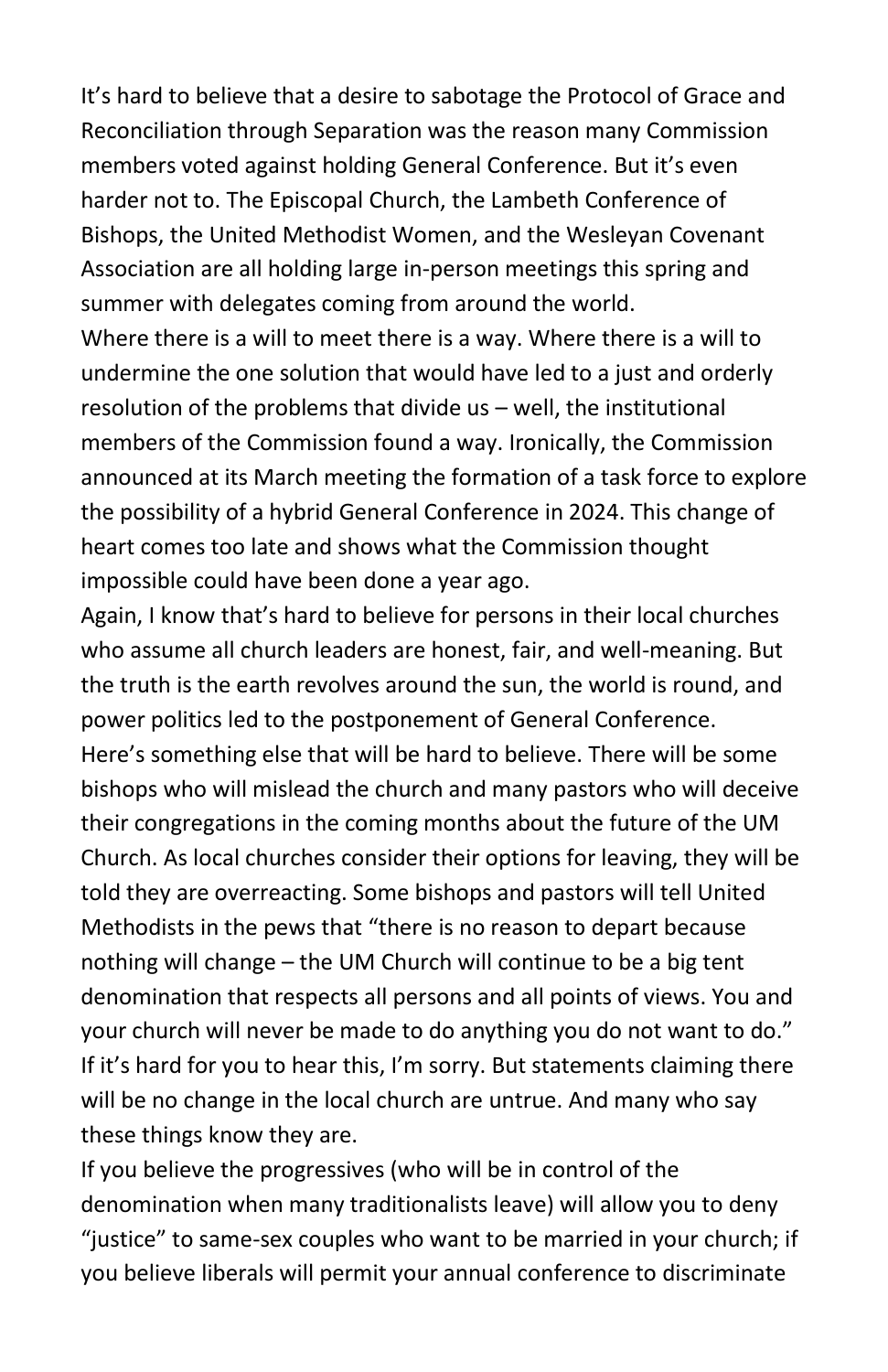It's hard to believe that a desire to sabotage the Protocol of Grace and Reconciliation through Separation was the reason many Commission members voted against holding General Conference. But it's even harder not to. The Episcopal Church, the Lambeth Conference of Bishops, the United Methodist Women, and the Wesleyan Covenant Association are all holding large in-person meetings this spring and summer with delegates coming from around the world.

Where there is a will to meet there is a way. Where there is a will to undermine the one solution that would have led to a just and orderly resolution of the problems that divide us – well, the institutional members of the Commission found a way. Ironically, the Commission announced at its March meeting the formation of a task force to explore the possibility of a hybrid General Conference in 2024. This change of heart comes too late and shows what the Commission thought impossible could have been done a year ago.

Again, I know that's hard to believe for persons in their local churches who assume all church leaders are honest, fair, and well-meaning. But the truth is the earth revolves around the sun, the world is round, and power politics led to the postponement of General Conference. Here's something else that will be hard to believe. There will be some bishops who will mislead the church and many pastors who will deceive their congregations in the coming months about the future of the UM Church. As local churches consider their options for leaving, they will be told they are overreacting. Some bishops and pastors will tell United Methodists in the pews that "there is no reason to depart because nothing will change – the UM Church will continue to be a big tent denomination that respects all persons and all points of views. You and your church will never be made to do anything you do not want to do." If it's hard for you to hear this, I'm sorry. But statements claiming there will be no change in the local church are untrue. And many who say these things know they are.

If you believe the progressives (who will be in control of the denomination when many traditionalists leave) will allow you to deny "justice" to same-sex couples who want to be married in your church; if you believe liberals will permit your annual conference to discriminate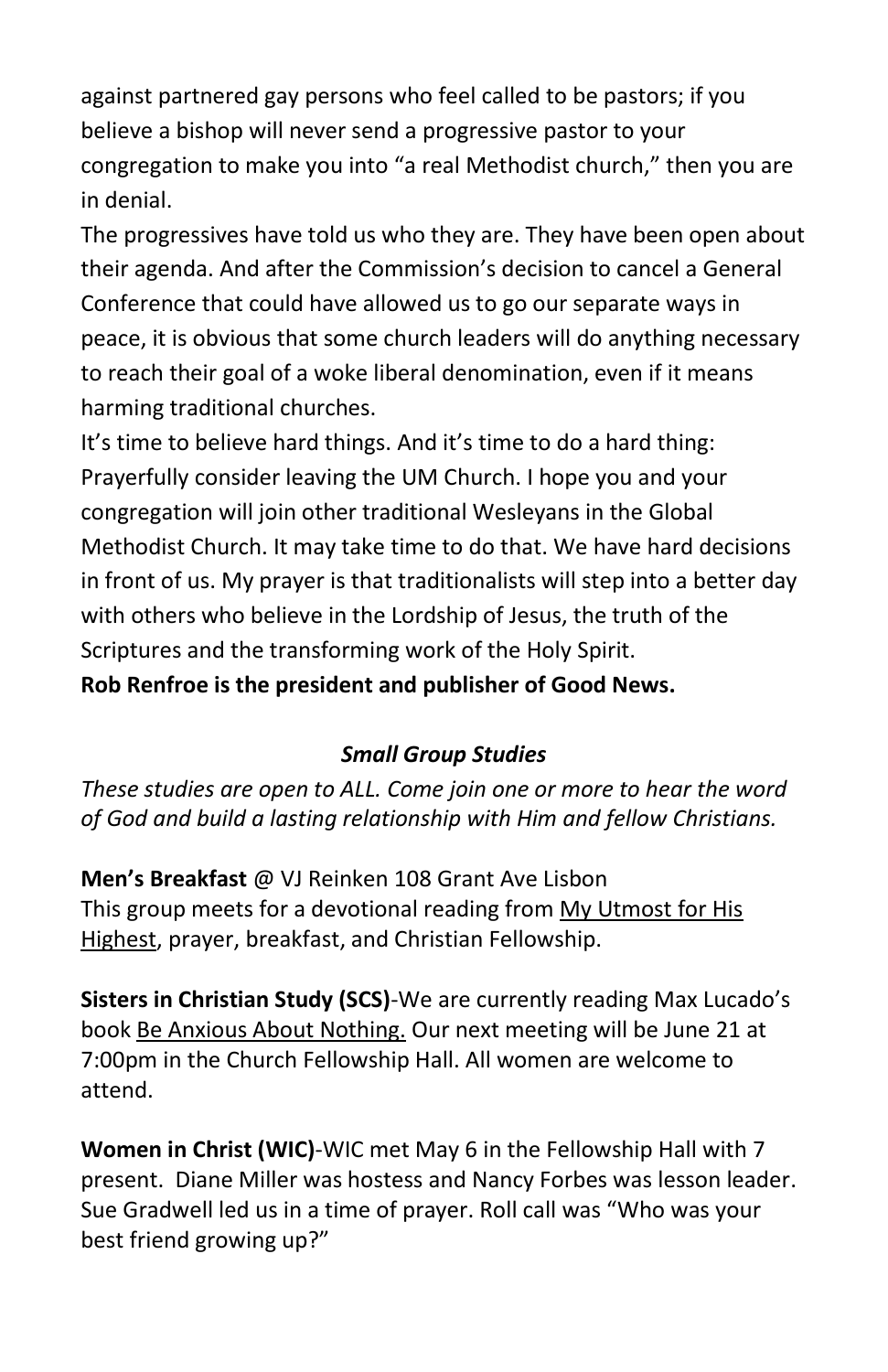against partnered gay persons who feel called to be pastors; if you believe a bishop will never send a progressive pastor to your congregation to make you into "a real Methodist church," then you are in denial.

The progressives have told us who they are. They have been open about their agenda. And after the Commission's decision to cancel a General Conference that could have allowed us to go our separate ways in peace, it is obvious that some church leaders will do anything necessary to reach their goal of a woke liberal denomination, even if it means harming traditional churches.

It's time to believe hard things. And it's time to do a hard thing: Prayerfully consider leaving the UM Church. I hope you and your congregation will join other traditional Wesleyans in the Global Methodist Church. It may take time to do that. We have hard decisions in front of us. My prayer is that traditionalists will step into a better day with others who believe in the Lordship of Jesus, the truth of the Scriptures and the transforming work of the Holy Spirit.

**Rob Renfroe is the president and publisher of Good News.** 

# *Small Group Studies*

*These studies are open to ALL. Come join one or more to hear the word of God and build a lasting relationship with Him and fellow Christians.*

**Men's Breakfast** @ VJ Reinken 108 Grant Ave Lisbon This group meets for a devotional reading from My Utmost for His Highest, prayer, breakfast, and Christian Fellowship.

**Sisters in Christian Study (SCS)**-We are currently reading Max Lucado's book Be Anxious About Nothing. Our next meeting will be June 21 at 7:00pm in the Church Fellowship Hall. All women are welcome to attend.

**Women in Christ (WIC)**-WIC met May 6 in the Fellowship Hall with 7 present. Diane Miller was hostess and Nancy Forbes was lesson leader. Sue Gradwell led us in a time of prayer. Roll call was "Who was your best friend growing up?"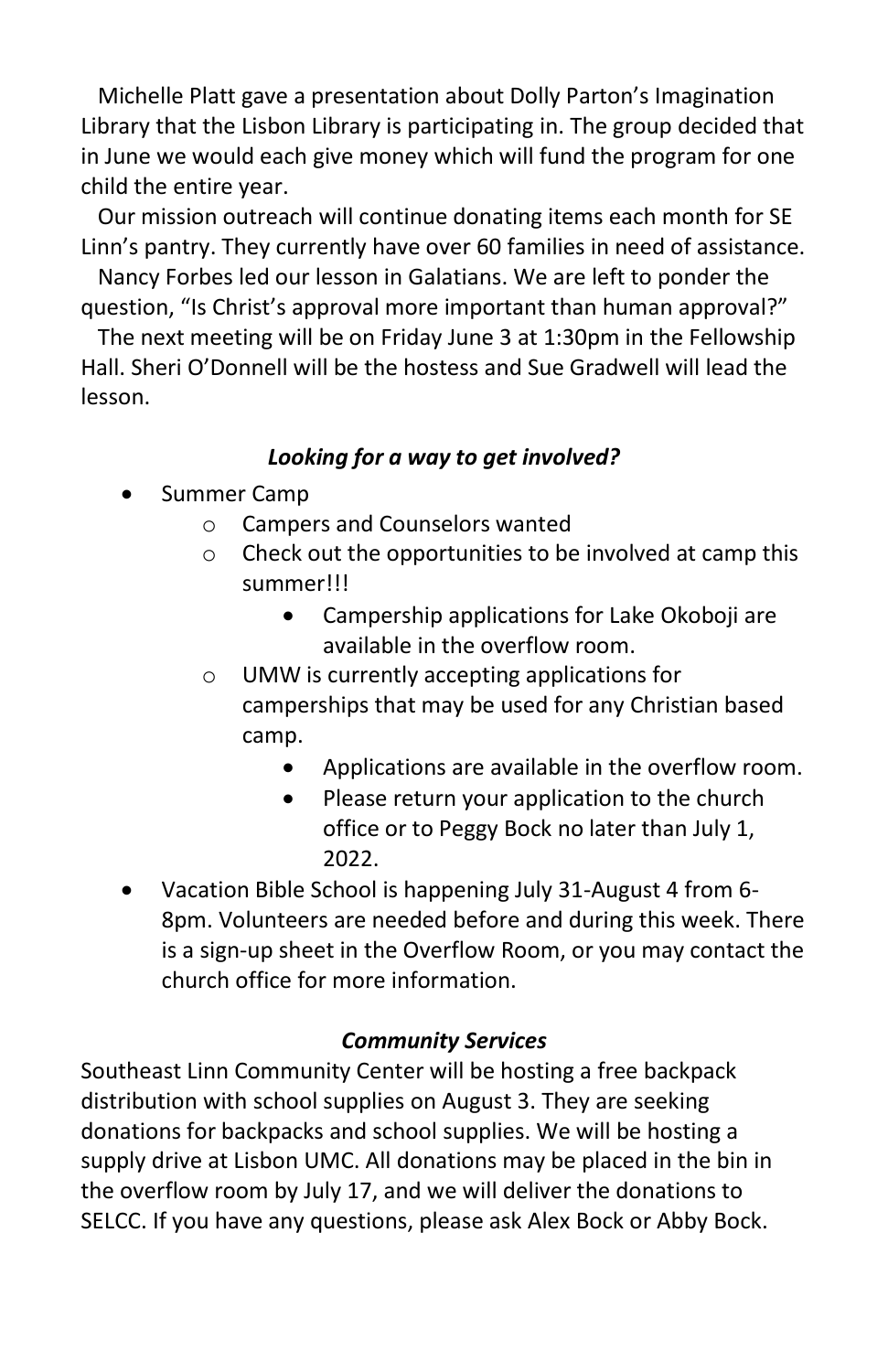Michelle Platt gave a presentation about Dolly Parton's Imagination Library that the Lisbon Library is participating in. The group decided that in June we would each give money which will fund the program for one child the entire year.

 Our mission outreach will continue donating items each month for SE Linn's pantry. They currently have over 60 families in need of assistance.

 Nancy Forbes led our lesson in Galatians. We are left to ponder the question, "Is Christ's approval more important than human approval?"

 The next meeting will be on Friday June 3 at 1:30pm in the Fellowship Hall. Sheri O'Donnell will be the hostess and Sue Gradwell will lead the lesson.

# *Looking for a way to get involved?*

- Summer Camp
	- o Campers and Counselors wanted
	- o Check out the opportunities to be involved at camp this summer!!!
		- Campership applications for Lake Okoboji are available in the overflow room.
	- o UMW is currently accepting applications for camperships that may be used for any Christian based camp.
		- Applications are available in the overflow room.
		- Please return your application to the church office or to Peggy Bock no later than July 1, 2022.
- Vacation Bible School is happening July 31-August 4 from 6- 8pm. Volunteers are needed before and during this week. There is a sign-up sheet in the Overflow Room, or you may contact the church office for more information.

## *Community Services*

Southeast Linn Community Center will be hosting a free backpack distribution with school supplies on August 3. They are seeking donations for backpacks and school supplies. We will be hosting a supply drive at Lisbon UMC. All donations may be placed in the bin in the overflow room by July 17, and we will deliver the donations to SELCC. If you have any questions, please ask Alex Bock or Abby Bock.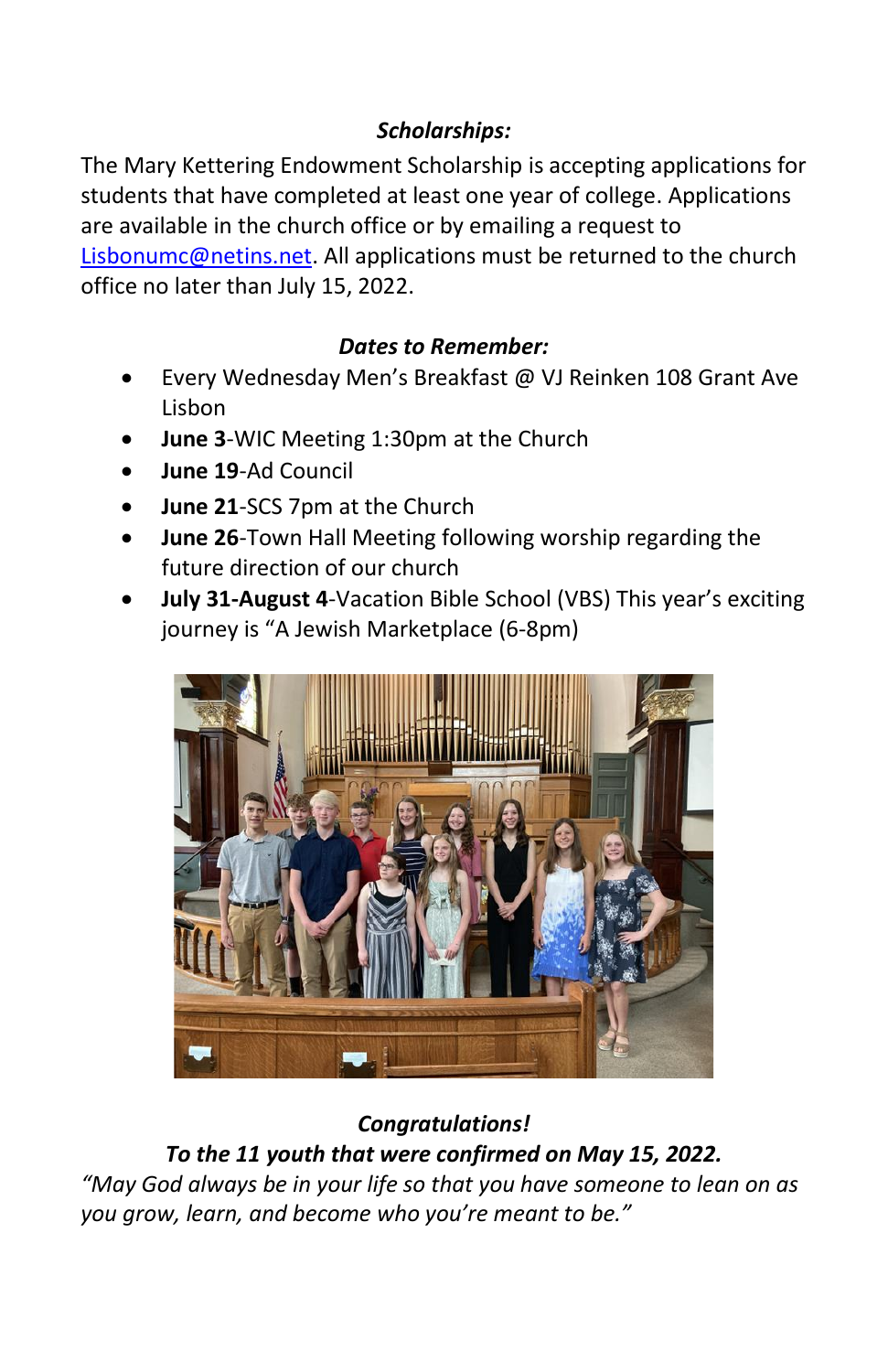# *Scholarships:*

The Mary Kettering Endowment Scholarship is accepting applications for students that have completed at least one year of college. Applications are available in the church office or by emailing a request to [Lisbonumc@netins.net.](mailto:Lisbonumc@netins.net) All applications must be returned to the church office no later than July 15, 2022.

## *Dates to Remember:*

- Every Wednesday Men's Breakfast @ VJ Reinken 108 Grant Ave Lisbon
- **June 3**-WIC Meeting 1:30pm at the Church
- **June 19**-Ad Council
- **June 21**-SCS 7pm at the Church
- **June 26**-Town Hall Meeting following worship regarding the future direction of our church
- **July 31-August 4**-Vacation Bible School (VBS) This year's exciting journey is "A Jewish Marketplace (6-8pm)



# *Congratulations! To the 11 youth that were confirmed on May 15, 2022.*

*"May God always be in your life so that you have someone to lean on as you grow, learn, and become who you're meant to be."*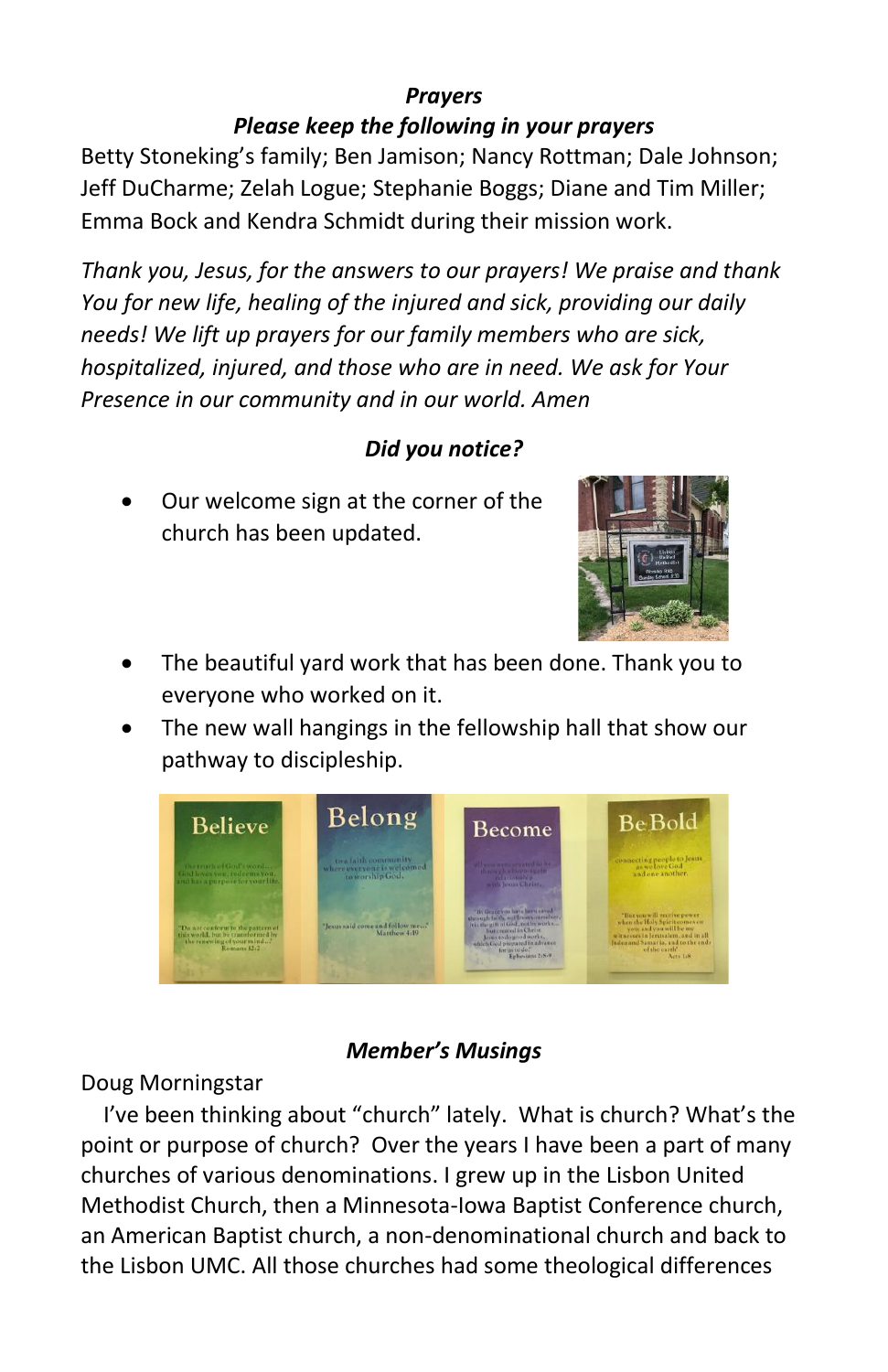#### *Prayers Please keep the following in your prayers*

Betty Stoneking's family; Ben Jamison; Nancy Rottman; Dale Johnson; Jeff DuCharme; Zelah Logue; Stephanie Boggs; Diane and Tim Miller; Emma Bock and Kendra Schmidt during their mission work.

*Thank you, Jesus, for the answers to our prayers! We praise and thank You for new life, healing of the injured and sick, providing our daily needs! We lift up prayers for our family members who are sick, hospitalized, injured, and those who are in need. We ask for Your Presence in our community and in our world. Amen*

# *Did you notice?*

• Our welcome sign at the corner of the church has been updated.



- The beautiful yard work that has been done. Thank you to everyone who worked on it.
- The new wall hangings in the fellowship hall that show our pathway to discipleship.



### *Member's Musings*

### Doug Morningstar

I've been thinking about "church" lately. What is church? What's the point or purpose of church? Over the years I have been a part of many churches of various denominations. I grew up in the Lisbon United Methodist Church, then a Minnesota-Iowa Baptist Conference church, an American Baptist church, a non-denominational church and back to the Lisbon UMC. All those churches had some theological differences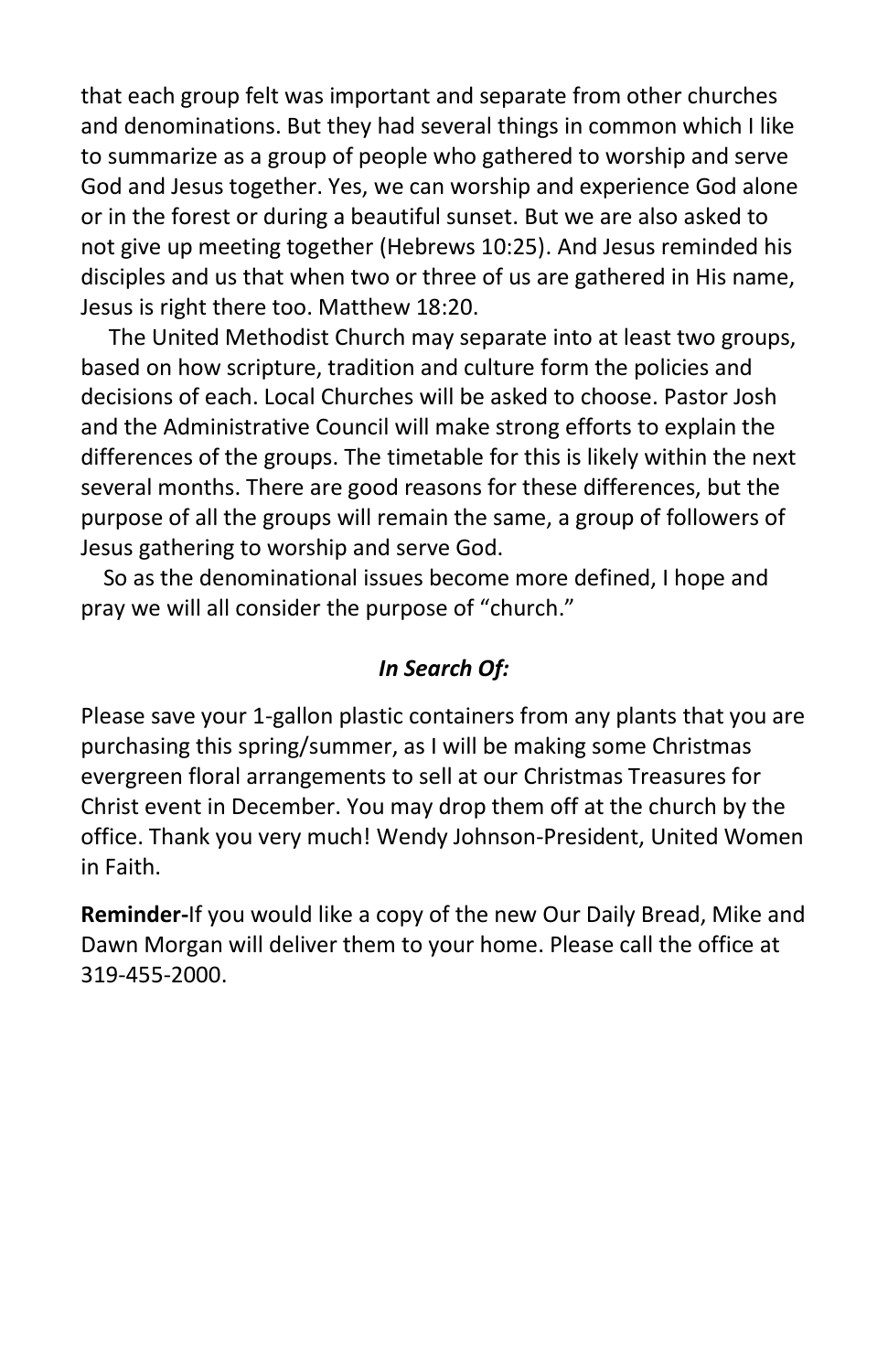that each group felt was important and separate from other churches and denominations. But they had several things in common which I like to summarize as a group of people who gathered to worship and serve God and Jesus together. Yes, we can worship and experience God alone or in the forest or during a beautiful sunset. But we are also asked to not give up meeting together (Hebrews 10:25). And Jesus reminded his disciples and us that when two or three of us are gathered in His name, Jesus is right there too. Matthew 18:20.

 The United Methodist Church may separate into at least two groups, based on how scripture, tradition and culture form the policies and decisions of each. Local Churches will be asked to choose. Pastor Josh and the Administrative Council will make strong efforts to explain the differences of the groups. The timetable for this is likely within the next several months. There are good reasons for these differences, but the purpose of all the groups will remain the same, a group of followers of Jesus gathering to worship and serve God.

 So as the denominational issues become more defined, I hope and pray we will all consider the purpose of "church."

#### *In Search Of:*

Please save your 1-gallon plastic containers from any plants that you are purchasing this spring/summer, as I will be making some Christmas evergreen floral arrangements to sell at our Christmas Treasures for Christ event in December. You may drop them off at the church by the office. Thank you very much! Wendy Johnson-President, United Women in Faith.

**Reminder-**If you would like a copy of the new Our Daily Bread, Mike and Dawn Morgan will deliver them to your home. Please call the office at 319-455-2000.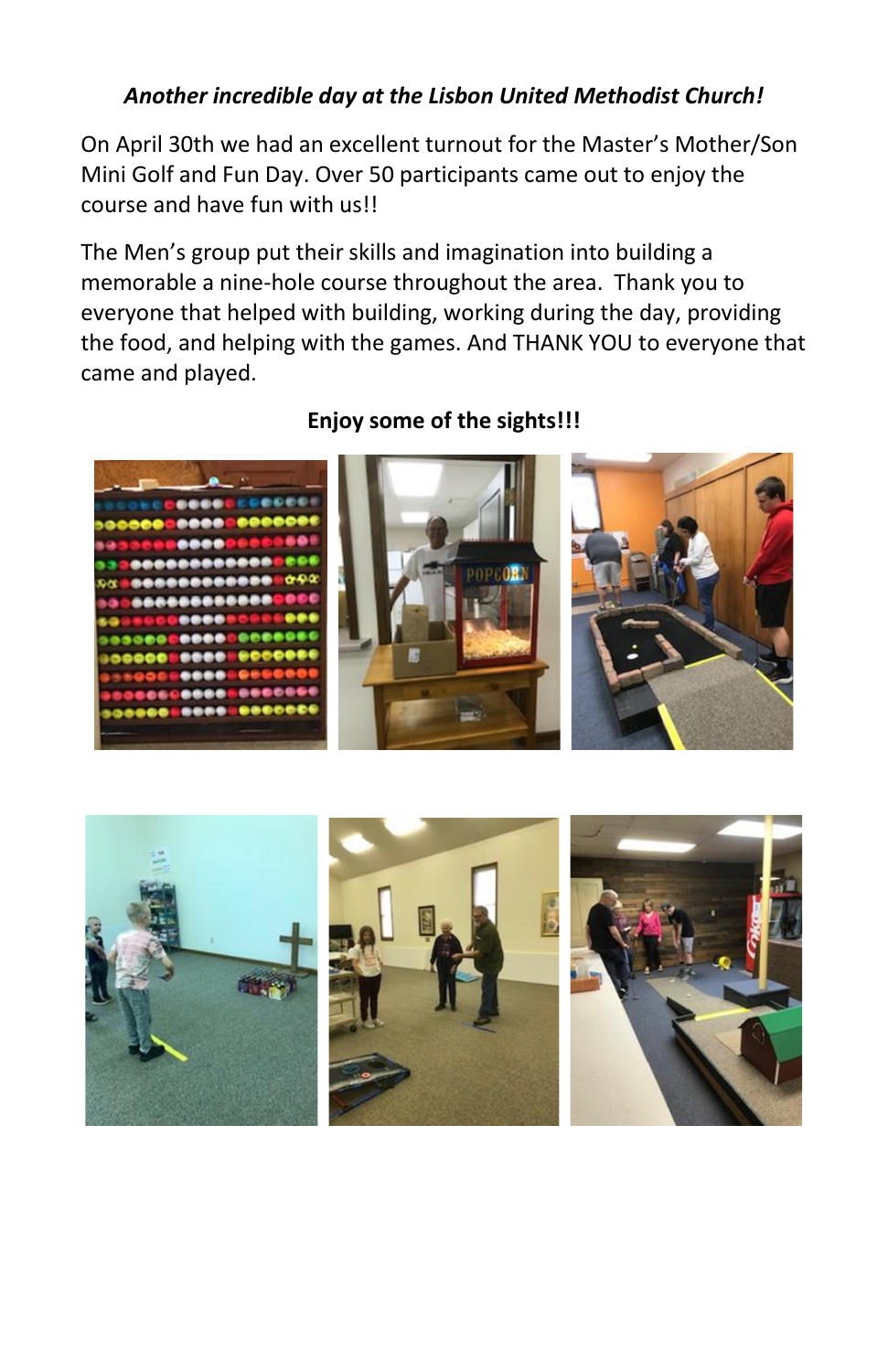## *Another incredible day at the Lisbon United Methodist Church!*

On April 30th we had an excellent turnout for the Master's Mother/Son Mini Golf and Fun Day. Over 50 participants came out to enjoy the course and have fun with us!!

The Men's group put their skills and imagination into building a memorable a nine-hole course throughout the area. Thank you to everyone that helped with building, working during the day, providing the food, and helping with the games. And THANK YOU to everyone that came and played.



### **Enjoy some of the sights!!!**